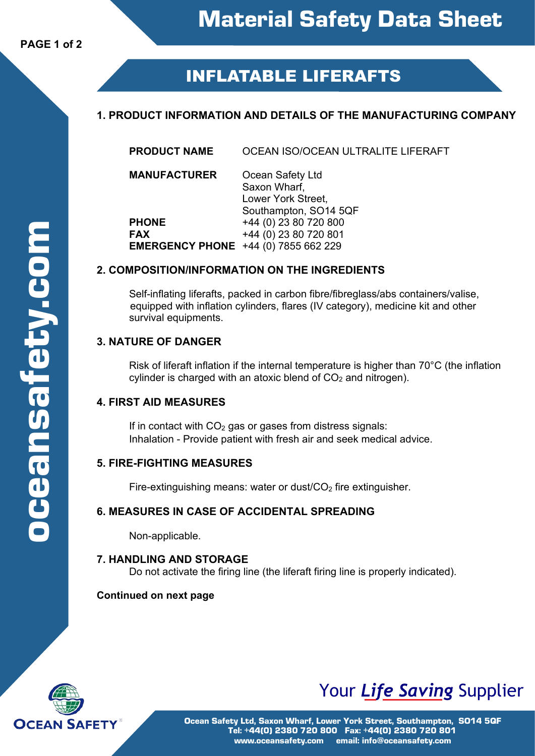# **INFLATABLE LIFERAFTS**

# **1. PRODUCT INFORMATION AND DETAILS OF THE MANUFACTURING COMPANY**

**PRODUCT NAME** OCEAN ISO/OCEAN ULTRALITE LIFERAFT

**MANUFACTURER** Ocean Safety Ltd Saxon Wharf, Lower York Street, Southampton, SO14 5QF **PHONE** +44 (0) 23 80 720 800 **FAX** +44 (0) 23 80 720 801 **EMERGENCY PHONE** +44 (0) 7855 662 229

### **2. COMPOSITION/INFORMATION ON THE INGREDIENTS**

Self-inflating liferafts, packed in carbon fibre/fibreglass/abs containers/valise, equipped with inflation cylinders, flares (IV category), medicine kit and other survival equipments.

# **3. NATURE OF DANGER**

Risk of liferaft inflation if the internal temperature is higher than 70°C (the inflation cylinder is charged with an atoxic blend of  $CO<sub>2</sub>$  and nitrogen).

# **4. FIRST AID MEASURES**

If in contact with  $CO<sub>2</sub>$  gas or gases from distress signals: Inhalation - Provide patient with fresh air and seek medical advice.

# **5. FIRE-FIGHTING MEASURES**

Fire-extinguishing means: water or dust/ $CO<sub>2</sub>$  fire extinguisher.

# **6. MEASURES IN CASE OF ACCIDENTAL SPREADING**

Non-applicable.

#### **7. HANDLING AND STORAGE**

Do not activate the firing line (the liferaft firing line is properly indicated).

#### **Continued on next page**



# Your *Life Saving* Supplier